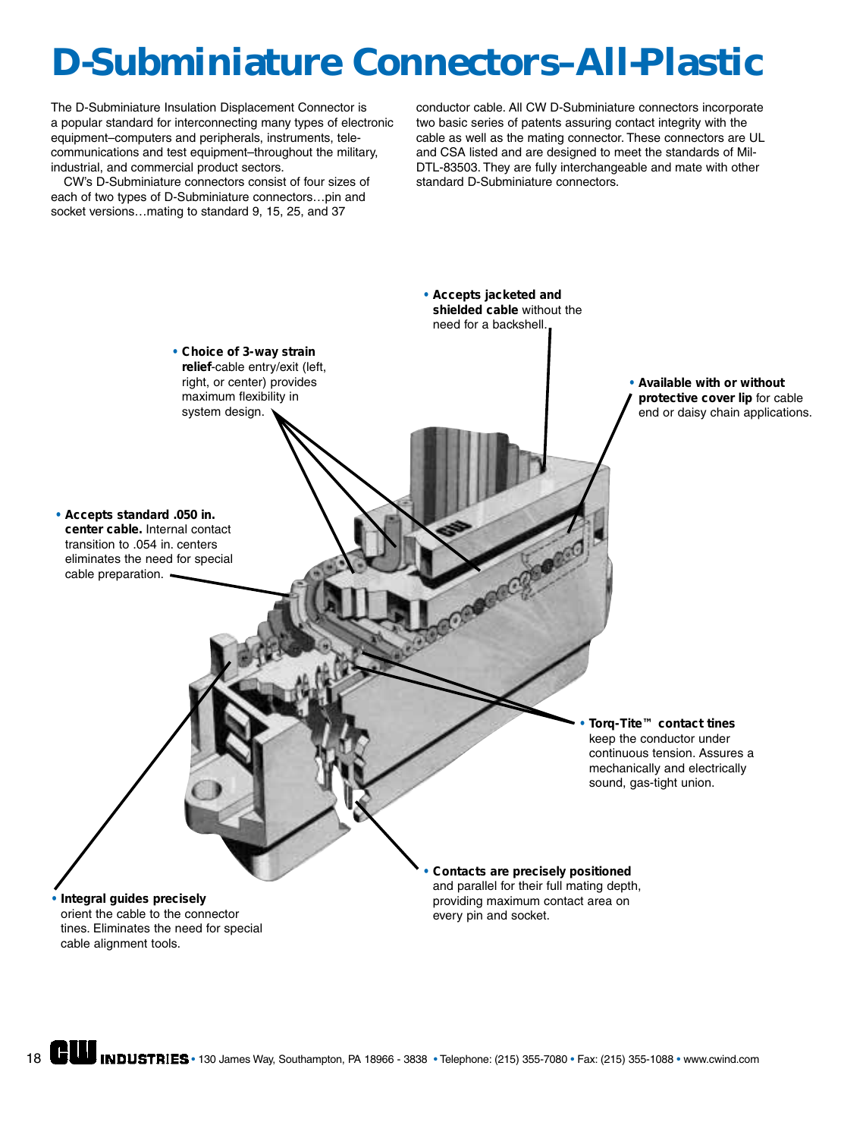## **D-Subminiature Connectors–All-Plastic**

The D-Subminiature Insulation Displacement Connector is a popular standard for interconnecting many types of electronic equipment–computers and peripherals, instruments, telecommunications and test equipment–throughout the military, industrial, and commercial product sectors.

CW's D-Subminiature connectors consist of four sizes of each of two types of D-Subminiature connectors…pin and socket versions…mating to standard 9, 15, 25, and 37

conductor cable. All CW D-Subminiature connectors incorporate two basic series of patents assuring contact integrity with the cable as well as the mating connector. These connectors are UL and CSA listed and are designed to meet the standards of Mil-DTL-83503. They are fully interchangeable and mate with other standard D-Subminiature connectors.

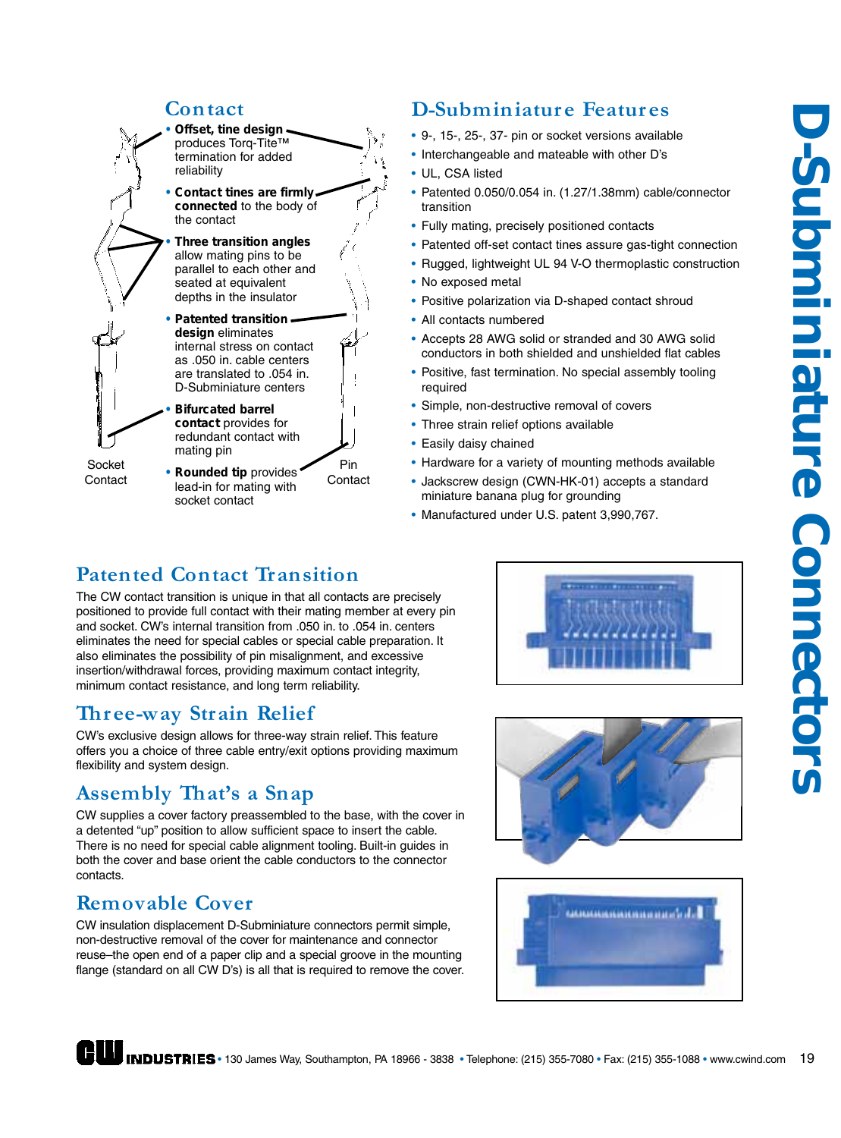#### **Contact**



#### **D-Subminiatur e Featur es**

- 9-, 15-, 25-, 37- pin or socket versions available
- Interchangeable and mateable with other D's
- UL, CSA listed
- Patented 0.050/0.054 in. (1.27/1.38mm) cable/connector transition
- Fully mating, precisely positioned contacts
- Patented off-set contact tines assure gas-tight connection
- Rugged, lightweight UL 94 V-O thermoplastic construction
- No exposed metal
- Positive polarization via D-shaped contact shroud
- All contacts numbered
- Accepts 28 AWG solid or stranded and 30 AWG solid conductors in both shielded and unshielded flat cables
- Positive, fast termination. No special assembly tooling required
- Simple, non-destructive removal of covers
- Three strain relief options available
- Easily daisy chained
- Hardware for a variety of mounting methods available
- Jackscrew design (CWN-HK-01) accepts a standard miniature banana plug for grounding
- Manufactured under U.S. patent 3,990,767.

#### **Patented Contact Transition**

socket contact

The CW contact transition is unique in that all contacts are precisely positioned to provide full contact with their mating member at every pin and socket. CW's internal transition from .050 in. to .054 in. centers eliminates the need for special cables or special cable preparation. It also eliminates the possibility of pin misalignment, and excessive insertion/withdrawal forces, providing maximum contact integrity, minimum contact resistance, and long term reliability.

#### **Three-way Strain Relief**

CW's exclusive design allows for three-way strain relief. This feature offers you a choice of three cable entry/exit options providing maximum flexibility and system design.

#### **Assembly That's a Snap**

CW supplies a cover factory preassembled to the base, with the cover in a detented "up" position to allow sufficient space to insert the cable. There is no need for special cable alignment tooling. Built-in guides in both the cover and base orient the cable conductors to the connector contacts.

#### **Removable Cover**

CW insulation displacement D-Subminiature connectors permit simple, non-destructive removal of the cover for maintenance and connector reuse–the open end of a paper clip and a special groove in the mounting flange (standard on all CW D's) is all that is required to remove the cover.





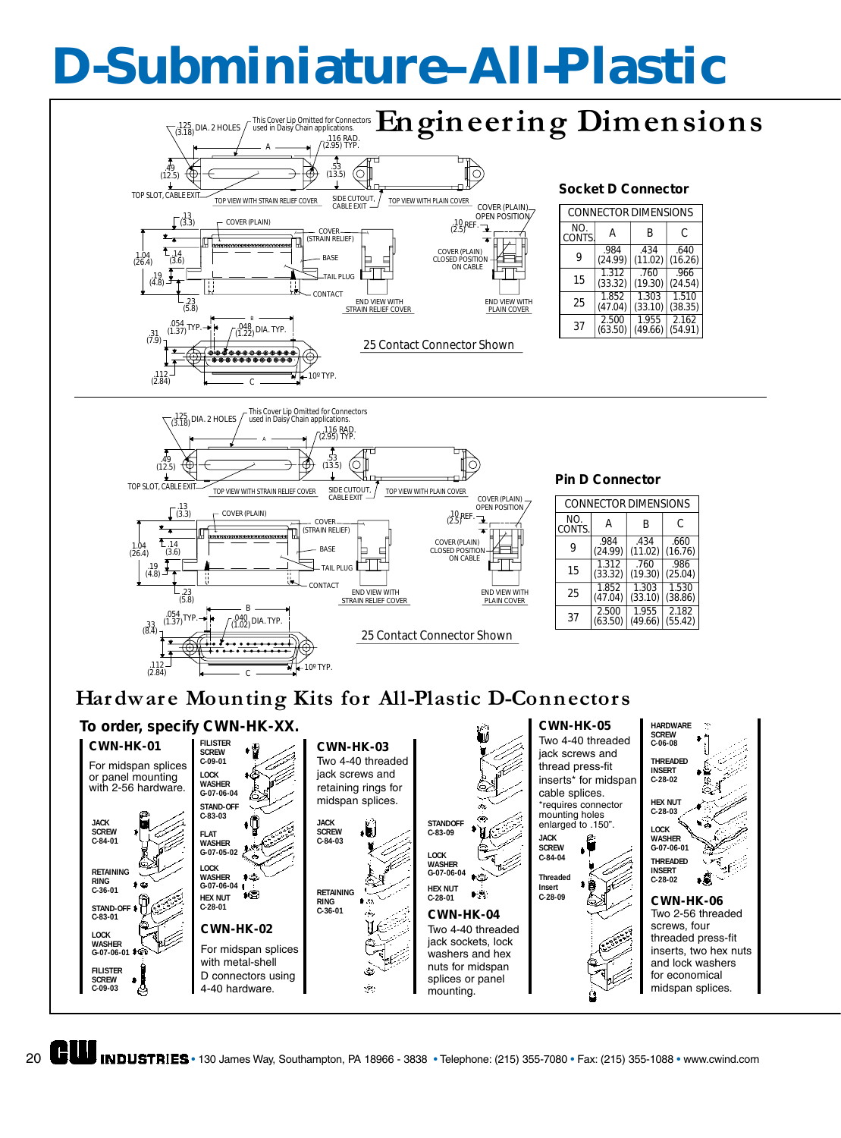# **D-Subminiature–All-Plastic**